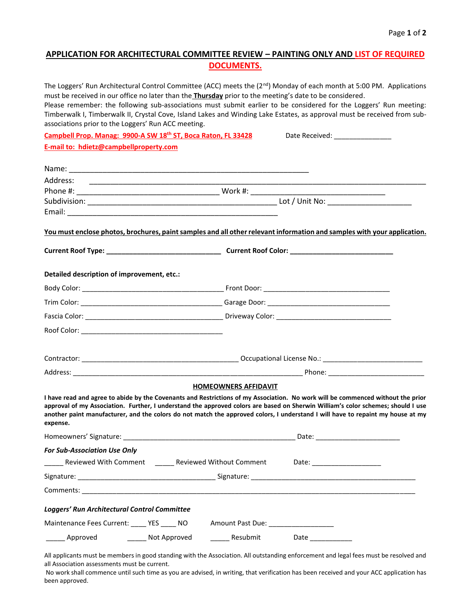## **APPLICATION FOR ARCHITECTURAL COMMITTEE REVIEW – PAINTING ONLY AND LIST OF REQUIRED DOCUMENTS.**

|                                                               |              |                                                                                                                       | The Loggers' Run Architectural Control Committee (ACC) meets the $(2^{nd})$ Monday of each month at 5:00 PM. Applications<br>must be received in our office no later than the <b>Thursday</b> prior to the meeting's date to be considered.<br>Please remember: the following sub-associations must submit earlier to be considered for the Loggers' Run meeting:                                      |
|---------------------------------------------------------------|--------------|-----------------------------------------------------------------------------------------------------------------------|--------------------------------------------------------------------------------------------------------------------------------------------------------------------------------------------------------------------------------------------------------------------------------------------------------------------------------------------------------------------------------------------------------|
| associations prior to the Loggers' Run ACC meeting.           |              |                                                                                                                       | Timberwalk I, Timberwalk II, Crystal Cove, Island Lakes and Winding Lake Estates, as approval must be received from sub-                                                                                                                                                                                                                                                                               |
| Campbell Prop. Manag: 9900-A SW 18th ST, Boca Raton, FL 33428 |              |                                                                                                                       | Date Received: ________________                                                                                                                                                                                                                                                                                                                                                                        |
| E-mail to: hdietz@campbellproperty.com                        |              |                                                                                                                       |                                                                                                                                                                                                                                                                                                                                                                                                        |
|                                                               |              |                                                                                                                       |                                                                                                                                                                                                                                                                                                                                                                                                        |
|                                                               |              |                                                                                                                       |                                                                                                                                                                                                                                                                                                                                                                                                        |
| Address:                                                      |              | <u> 2000 - Jan James James James James James James James James James James James James James James James James Ja</u> |                                                                                                                                                                                                                                                                                                                                                                                                        |
|                                                               |              |                                                                                                                       |                                                                                                                                                                                                                                                                                                                                                                                                        |
|                                                               |              |                                                                                                                       |                                                                                                                                                                                                                                                                                                                                                                                                        |
|                                                               |              |                                                                                                                       |                                                                                                                                                                                                                                                                                                                                                                                                        |
|                                                               |              |                                                                                                                       | You must enclose photos, brochures, paint samples and all other relevant information and samples with your application.                                                                                                                                                                                                                                                                                |
|                                                               |              |                                                                                                                       |                                                                                                                                                                                                                                                                                                                                                                                                        |
| Detailed description of improvement, etc.:                    |              |                                                                                                                       |                                                                                                                                                                                                                                                                                                                                                                                                        |
|                                                               |              |                                                                                                                       |                                                                                                                                                                                                                                                                                                                                                                                                        |
|                                                               |              |                                                                                                                       |                                                                                                                                                                                                                                                                                                                                                                                                        |
|                                                               |              |                                                                                                                       |                                                                                                                                                                                                                                                                                                                                                                                                        |
|                                                               |              |                                                                                                                       |                                                                                                                                                                                                                                                                                                                                                                                                        |
|                                                               |              |                                                                                                                       |                                                                                                                                                                                                                                                                                                                                                                                                        |
|                                                               |              |                                                                                                                       |                                                                                                                                                                                                                                                                                                                                                                                                        |
|                                                               |              | <b>HOMEOWNERS AFFIDAVIT</b>                                                                                           |                                                                                                                                                                                                                                                                                                                                                                                                        |
| expense.                                                      |              |                                                                                                                       | I have read and agree to abide by the Covenants and Restrictions of my Association. No work will be commenced without the prior<br>approval of my Association. Further, I understand the approved colors are based on Sherwin William's color schemes; should I use<br>another paint manufacturer, and the colors do not match the approved colors, I understand I will have to repaint my house at my |
|                                                               |              |                                                                                                                       |                                                                                                                                                                                                                                                                                                                                                                                                        |
| <b>For Sub-Association Use Only</b>                           |              |                                                                                                                       |                                                                                                                                                                                                                                                                                                                                                                                                        |
|                                                               |              |                                                                                                                       | _______ Reviewed With Comment _______ Reviewed Without Comment _________________________                                                                                                                                                                                                                                                                                                               |
|                                                               |              |                                                                                                                       |                                                                                                                                                                                                                                                                                                                                                                                                        |
|                                                               |              |                                                                                                                       |                                                                                                                                                                                                                                                                                                                                                                                                        |
| Loggers' Run Architectural Control Committee                  |              |                                                                                                                       |                                                                                                                                                                                                                                                                                                                                                                                                        |
| Maintenance Fees Current: ____ YES ____ NO                    |              |                                                                                                                       |                                                                                                                                                                                                                                                                                                                                                                                                        |
| _____ Approved                                                | Not Approved | Resubmit                                                                                                              |                                                                                                                                                                                                                                                                                                                                                                                                        |

All applicants must be members in good standing with the Association. All outstanding enforcement and legal fees must be resolved and all Association assessments must be current.

No work shall commence until such time as you are advised, in writing, that verification has been received and your ACC application has been approved.